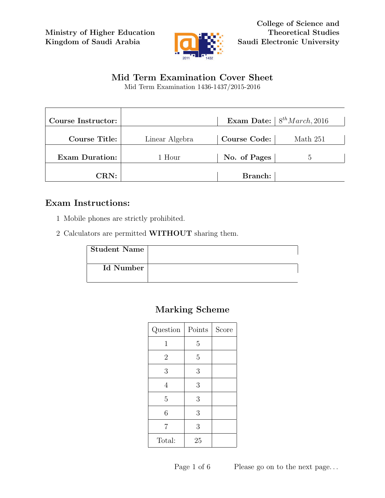Ministry of Higher Education Kingdom of Saudi Arabia



College of Science and Theoretical Studies Saudi Electronic University

## Mid Term Examination Cover Sheet

Mid Term Examination 1436-1437/2015-2016

| Course Instructor:    |                |                     | Exam Date: $8^{th} March$ , 2016 |
|-----------------------|----------------|---------------------|----------------------------------|
| <b>Course Title:</b>  | Linear Algebra | <b>Course Code:</b> | Math 251                         |
| <b>Exam Duration:</b> | 1 Hour         | No. of Pages        | $\mathcal{D}$                    |
| CRN:                  |                | Branch:             |                                  |

### Exam Instructions:

- 1 Mobile phones are strictly prohibited.
- 2 Calculators are permitted WITHOUT sharing them.

| <b>Student Name</b> |  |
|---------------------|--|
| Id Number           |  |

# Marking Scheme

| Question       | Points         | Score |
|----------------|----------------|-------|
| $\mathbf{1}$   | 5              |       |
| $\overline{2}$ | $\overline{5}$ |       |
| 3              | $\mathfrak{Z}$ |       |
| 4              | 3              |       |
| $\overline{5}$ | 3              |       |
| 6              | 3              |       |
| 7              | 3              |       |
| Total:         | 25             |       |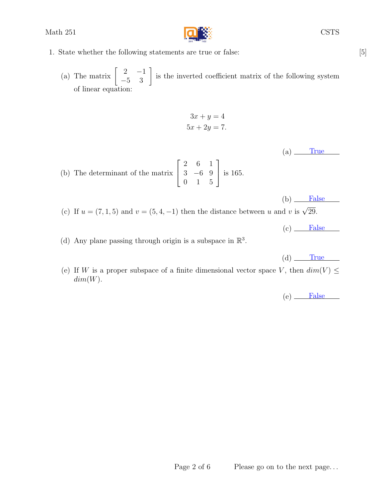

- 1. State whether the following statements are true or false: [5]
	- (a) The matrix  $\begin{bmatrix} 2 & -1 \\ -5 & 3 \end{bmatrix}$  is the inverted coefficient matrix of the following system of linear equation:

$$
3x + y = 4
$$

$$
5x + 2y = 7.
$$

 $(a)$  True

 $(b)$  False

(b) The determinant of the matrix  $\sqrt{ }$  $\overline{\phantom{a}}$ 2 6 1 3 −6 9 0 1 5 1 is 165.

(c) If  $u = (7, 1, 5)$  and  $v = (5, 4, -1)$  then the distance between u and v is  $\sqrt{29}$ .

(d) Any plane passing through origin is a subspace in  $\mathbb{R}^3$ .

 $(d)$  True

 $(c)$  False

(e) If W is a proper subspace of a finite dimensional vector space V, then  $dim(V) \leq$  $dim(W)$ .

 $(e)$  False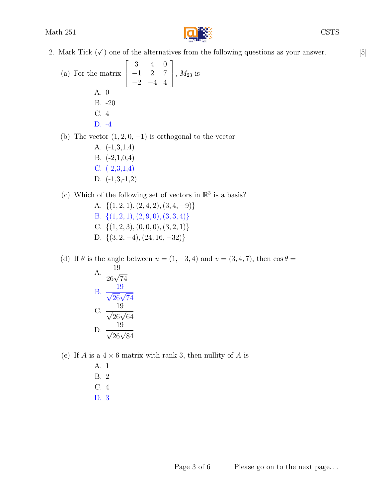

- 2. Mark Tick  $(\checkmark)$  one of the alternatives from the following questions as your answer. [5]
	- (a) For the matrix  $\sqrt{ }$  $\overline{1}$ 3 4 0 −1 2 7  $-2$   $-4$  4 1 ,  $M_{23}$  is A. 0 B. -20 C. 4 D. -4

(b) The vector  $(1, 2, 0, -1)$  is orthogonal to the vector

A. (-1,3,1,4) B. (-2,1,0,4) C. (-2,3,1,4) D. (-1,3,-1,2)

(c) Which of the following set of vectors in  $\mathbb{R}^3$  is a basis?

A.  $\{(1, 2, 1), (2, 4, 2), (3, 4, -9)\}\$ B.  $\{(1, 2, 1), (2, 9, 0), (3, 3, 4)\}\$ C.  $\{(1, 2, 3), (0, 0, 0), (3, 2, 1)\}\$ D.  $\{(3, 2, -4), (24, 16, -32)\}\$ 

(d) If  $\theta$  is the angle between  $u = (1, -3, 4)$  and  $v = (3, 4, 7)$ , then  $\cos \theta =$ A.  $\frac{19}{26\sqrt{74}}$ B.  $\frac{19}{\sqrt{26}\sqrt{74}}$ C.  $\frac{19}{\sqrt{26}\sqrt{64}}$ 

D. 
$$
\frac{19}{\sqrt{26}\sqrt{84}}
$$

(e) If A is a  $4 \times 6$  matrix with rank 3, then nullity of A is

A. 1 B. 2 C. 4 D. 3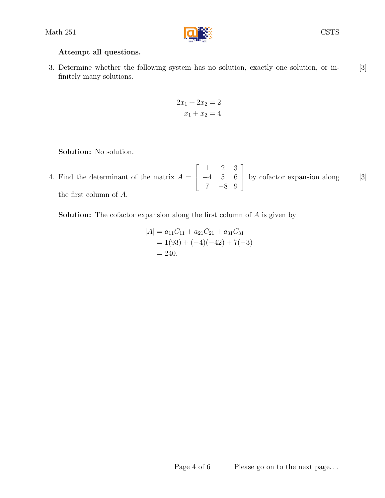

#### Attempt all questions.

3. Determine whether the following system has no solution, exactly one solution, or in- [3] finitely many solutions.

$$
2x_1 + 2x_2 = 2
$$

$$
x_1 + x_2 = 4
$$

Solution: No solution.

4. Find the determinant of the matrix  $A = \begin{bmatrix} -4 & 5 & 6 \end{bmatrix}$  by cofactor expansion along [3]  $\sqrt{ }$  $\overline{1}$ 1 2 3 −4 5 6 7 −8 9 1 by cofactor expansion along the first column of A.

Solution: The cofactor expansion along the first column of A is given by

$$
|A| = a_{11}C_{11} + a_{21}C_{21} + a_{31}C_{31}
$$
  
= 1(93) + (-4)(-42) + 7(-3)  
= 240.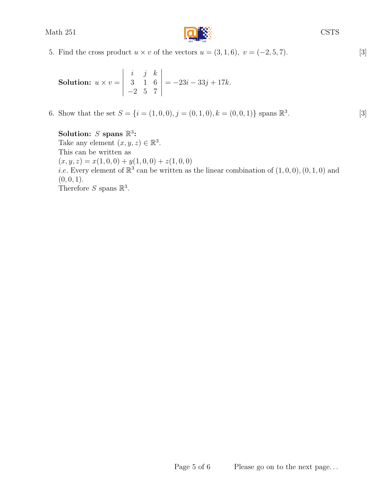

5. Find the cross product  $u \times v$  of the vectors  $u = (3, 1, 6)$ ,  $v = (-2, 5, 7)$ . [3]

**Solution:** 
$$
u \times v = \begin{vmatrix} i & j & k \\ 3 & 1 & 6 \\ -2 & 5 & 7 \end{vmatrix} = -23i - 33j + 17k.
$$

6. Show that the set  $S = \{i = (1, 0, 0), j = (0, 1, 0), k = (0, 0, 1)\}$  spans  $\mathbb{R}^3$ . [3]

#### Solution: S spans  $\mathbb{R}^3$ :

Take any element  $(x, y, z) \in \mathbb{R}^3$ . This can be written as  $(x, y, z) = x(1, 0, 0) + y(1, 0, 0) + z(1, 0, 0)$ *i.e.* Every element of  $\mathbb{R}^3$  can be written as the linear combination of  $(1,0,0), (0,1,0)$  and  $(0, 0, 1).$ Therefore S spans  $\mathbb{R}^3$ .